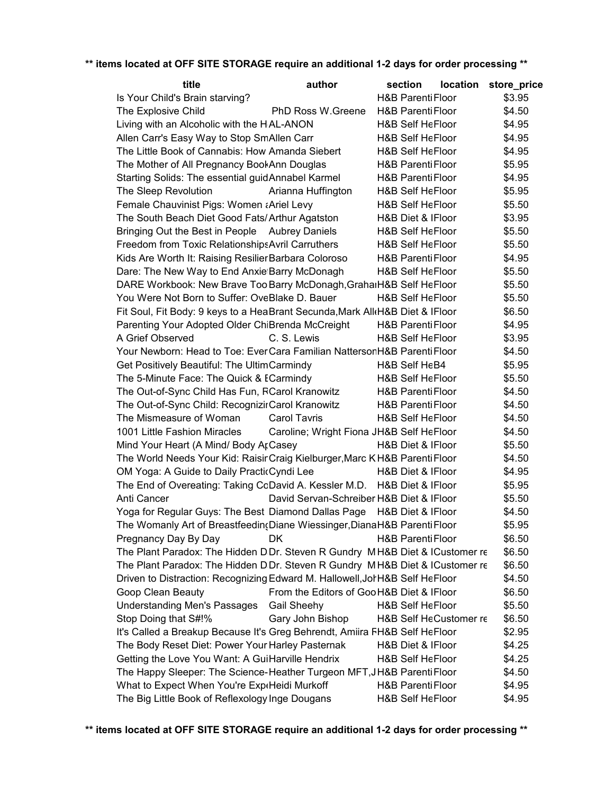## **\*\* items located at OFF SITE STORAGE require an additional 1-2 days for order processing \*\***

| title                                                                        | author                                    | section                      | location store_price |  |
|------------------------------------------------------------------------------|-------------------------------------------|------------------------------|----------------------|--|
| Is Your Child's Brain starving?                                              |                                           | <b>H&amp;B Parenti Floor</b> | \$3.95               |  |
| The Explosive Child                                                          | PhD Ross W.Greene                         | <b>H&amp;B Parenti Floor</b> | \$4.50               |  |
| Living with an Alcoholic with the H <sub>AL-ANON</sub>                       |                                           | <b>H&amp;B Self HeFloor</b>  | \$4.95               |  |
| Allen Carr's Easy Way to Stop SmAllen Carr                                   |                                           | H&B Self HeFloor             | \$4.95               |  |
| The Little Book of Cannabis: How Amanda Siebert                              |                                           | <b>H&amp;B Self HeFloor</b>  | \$4.95               |  |
| The Mother of All Pregnancy BookAnn Douglas                                  |                                           | H&B Parenti Floor            | \$5.95               |  |
| Starting Solids: The essential guid Annabel Karmel                           |                                           | H&B Parenti Floor            | \$4.95               |  |
| The Sleep Revolution                                                         | Arianna Huffington                        | H&B Self HeFloor             | \$5.95               |  |
| Female Chauvinist Pigs: Women ¿Ariel Levy                                    |                                           | <b>H&amp;B Self HeFloor</b>  | \$5.50               |  |
| The South Beach Diet Good Fats/Arthur Agatston                               |                                           | H&B Diet & IFloor            | \$3.95               |  |
| Bringing Out the Best in People Aubrey Daniels                               |                                           | <b>H&amp;B Self HeFloor</b>  | \$5.50               |  |
| Freedom from Toxic Relationships Avril Carruthers                            |                                           | H&B Self HeFloor             | \$5.50               |  |
| Kids Are Worth It: Raising Resilier Barbara Coloroso                         |                                           | <b>H&amp;B Parenti Floor</b> | \$4.95               |  |
| Dare: The New Way to End Anxie Barry McDonagh                                |                                           | H&B Self HeFloor             | \$5.50               |  |
| DARE Workbook: New Brave Too Barry McDonagh, GrahaiH&B Self HeFloor          |                                           |                              | \$5.50               |  |
| You Were Not Born to Suffer: OveBlake D. Bauer                               |                                           | H&B Self HeFloor             | \$5.50               |  |
| Fit Soul, Fit Body: 9 keys to a HeaBrant Secunda, Mark All H&B Diet & IFloor |                                           |                              | \$6.50               |  |
| Parenting Your Adopted Older ChiBrenda McCreight                             |                                           | <b>H&amp;B Parenti Floor</b> | \$4.95               |  |
| A Grief Observed                                                             | C. S. Lewis                               | <b>H&amp;B Self HeFloor</b>  | \$3.95               |  |
| Your Newborn: Head to Toe: Ever Cara Familian Natterson H&B Parenti Floor    |                                           |                              | \$4.50               |  |
| Get Positively Beautiful: The UltimCarmindy                                  |                                           | H&B Self HeB4                | \$5.95               |  |
| The 5-Minute Face: The Quick & ECarmindy                                     |                                           | <b>H&amp;B Self HeFloor</b>  | \$5.50               |  |
| The Out-of-Sync Child Has Fun, RCarol Kranowitz                              |                                           | H&B Parenti Floor            | \$4.50               |  |
| The Out-of-Sync Child: RecognizirCarol Kranowitz                             |                                           | H&B Parenti Floor            | \$4.50               |  |
| The Mismeasure of Woman                                                      | <b>Carol Tavris</b>                       | H&B Self HeFloor             | \$4.50               |  |
| 1001 Little Fashion Miracles                                                 | Caroline; Wright Fiona JH&B Self HeFloor  |                              | \$4.50               |  |
| Mind Your Heart (A Mind/ Body ArCasey                                        |                                           | H&B Diet & IFloor            | \$5.50               |  |
| The World Needs Your Kid: RaisirCraig Kielburger, Marc KH&B Parenti Floor    |                                           |                              | \$4.50               |  |
| OM Yoga: A Guide to Daily PracticCyndi Lee                                   |                                           | H&B Diet & IFloor            | \$4.95               |  |
| The End of Overeating: Taking CoDavid A. Kessler M.D. H&B Diet & IFloor      |                                           |                              | \$5.95               |  |
| Anti Cancer                                                                  | David Servan-Schreiber H&B Diet & IFloor  |                              | \$5.50               |  |
| Yoga for Regular Guys: The Best Diamond Dallas Page H&B Diet & IFloor        |                                           |                              | \$4.50               |  |
| The Womanly Art of Breastfeeding Diane Wiessinger, DianaH&B Parenti Floor    |                                           |                              | \$5.95               |  |
| Pregnancy Day By Day                                                         | DK                                        | H&B Parenti Floor            | \$6.50               |  |
| The Plant Paradox: The Hidden D.Dr. Steven R Gundry MH&B Diet & ICustomer re |                                           |                              | \$6.50               |  |
| The Plant Paradox: The Hidden D.Dr. Steven R Gundry MH&B Diet & ICustomer re |                                           |                              | \$6.50               |  |
| Driven to Distraction: Recognizing Edward M. Hallowell, JorH&B Self HeFloor  |                                           |                              | \$4.50               |  |
| Goop Clean Beauty                                                            | From the Editors of Goo H&B Diet & IFloor |                              | \$6.50               |  |
| Understanding Men's Passages Gail Sheehy                                     |                                           | <b>H&amp;B Self HeFloor</b>  | \$5.50               |  |
| Stop Doing that S#!%                                                         | Gary John Bishop                          | H&B Self HeCustomer re       | \$6.50               |  |
| It's Called a Breakup Because It's Greg Behrendt, Amiira FH&B Self HeFloor   |                                           |                              | \$2.95               |  |
| The Body Reset Diet: Power Your Harley Pasternak                             |                                           | H&B Diet & IFloor            | \$4.25               |  |
| Getting the Love You Want: A Gui Harville Hendrix                            |                                           | <b>H&amp;B Self HeFloor</b>  | \$4.25               |  |
| The Happy Sleeper: The Science-Heather Turgeon MFT, JH&B Parenti Floor       |                                           |                              | \$4.50               |  |
| What to Expect When You're Exp Heidi Murkoff                                 |                                           | <b>H&amp;B Parenti Floor</b> | \$4.95               |  |
| The Big Little Book of Reflexology Inge Dougans                              |                                           | H&B Self HeFloor             | \$4.95               |  |

**\*\* items located at OFF SITE STORAGE require an additional 1-2 days for order processing \*\***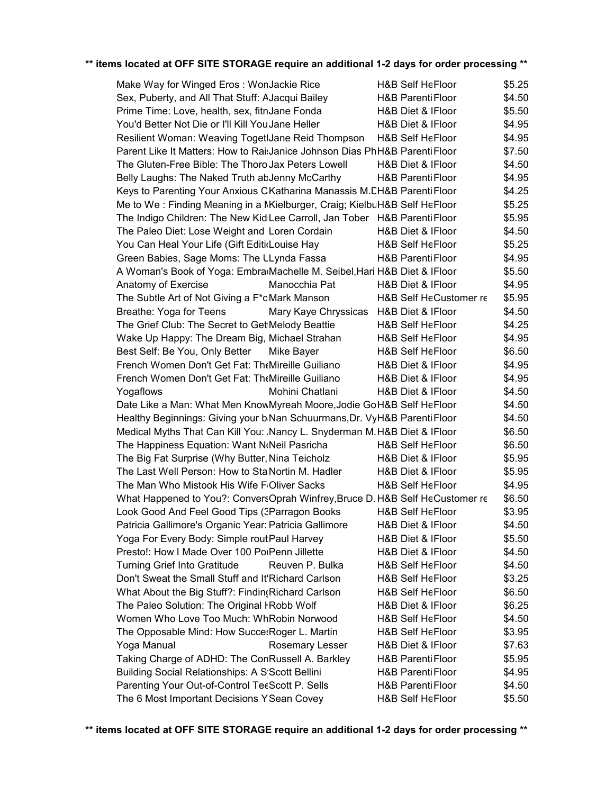## **\*\* items located at OFF SITE STORAGE require an additional 1-2 days for order processing \*\***

| Make Way for Winged Eros: WonJackie Rice                                     | <b>H&amp;B Self HeFloor</b>  | \$5.25 |
|------------------------------------------------------------------------------|------------------------------|--------|
| Sex, Puberty, and All That Stuff: AJacqui Bailey                             | H&B Parenti Floor            | \$4.50 |
| Prime Time: Love, health, sex, fitnJane Fonda                                | H&B Diet & IFloor            | \$5.50 |
| You'd Better Not Die or I'll Kill You Jane Heller                            | H&B Diet & IFloor            | \$4.95 |
| Resilient Woman: Weaving TogetIJane Reid Thompson                            | <b>H&amp;B Self HeFloor</b>  | \$4.95 |
| Parent Like It Matters: How to RaisJanice Johnson Dias PhH&B Parenti Floor   |                              | \$7.50 |
| The Gluten-Free Bible: The Thoro Jax Peters Lowell                           | H&B Diet & IFloor            | \$4.50 |
| Belly Laughs: The Naked Truth abJenny McCarthy                               | <b>H&amp;B Parenti Floor</b> | \$4.95 |
| Keys to Parenting Your Anxious CKatharina Manassis M.CH&B Parenti Floor      |                              | \$4.25 |
| Me to We: Finding Meaning in a NKielburger, Craig; KielbuH&B Self HeFloor    |                              | \$5.25 |
| The Indigo Children: The New Kid Lee Carroll, Jan Tober H&B Parenti Floor    |                              | \$5.95 |
| The Paleo Diet: Lose Weight and Loren Cordain                                | H&B Diet & IFloor            | \$4.50 |
| You Can Heal Your Life (Gift EditicLouise Hay                                | <b>H&amp;B Self HeFloor</b>  | \$5.25 |
| Green Babies, Sage Moms: The LLynda Fassa                                    | H&B Parenti Floor            | \$4.95 |
| A Woman's Book of Yoga: Embra Machelle M. Seibel, Hari H&B Diet & IFloor     |                              | \$5.50 |
| Anatomy of Exercise<br>Manocchia Pat                                         | H&B Diet & IFloor            | \$4.95 |
| The Subtle Art of Not Giving a F*cMark Manson                                | H&B Self HeCustomer re       | \$5.95 |
| Breathe: Yoga for Teens<br>Mary Kaye Chryssicas                              | H&B Diet & IFloor            | \$4.50 |
| The Grief Club: The Secret to GetIMelody Beattie                             | <b>H&amp;B Self HeFloor</b>  | \$4.25 |
|                                                                              | <b>H&amp;B Self HeFloor</b>  |        |
| Wake Up Happy: The Dream Big, Michael Strahan                                |                              | \$4.95 |
| Best Self: Be You, Only Better<br>Mike Bayer                                 | <b>H&amp;B Self HeFloor</b>  | \$6.50 |
| French Women Don't Get Fat: TheMireille Guiliano                             | H&B Diet & IFloor            | \$4.95 |
| French Women Don't Get Fat: The Mireille Guiliano                            | H&B Diet & IFloor            | \$4.95 |
| Yogaflows<br>Mohini Chatlani                                                 | H&B Diet & IFloor            | \$4.50 |
| Date Like a Man: What Men KnowMyreah Moore, Jodie GoH&B Self HeFloor         |                              | \$4.50 |
| Healthy Beginnings: Giving your b.Nan Schuurmans, Dr. VyH&B Parenti Floor    |                              | \$4.50 |
| Medical Myths That Can Kill You: Nancy L. Snyderman M.H&B Diet & IFloor      |                              | \$6.50 |
| The Happiness Equation: Want NoNeil Pasricha                                 | <b>H&amp;B Self HeFloor</b>  | \$6.50 |
| The Big Fat Surprise (Why Butter, Nina Teicholz                              | H&B Diet & IFloor            | \$5.95 |
| The Last Well Person: How to Sta Nortin M. Hadler                            | H&B Diet & IFloor            | \$5.95 |
| The Man Who Mistook His Wife Folliver Sacks                                  | <b>H&amp;B Self HeFloor</b>  | \$4.95 |
| What Happened to You?: ConversOprah Winfrey, Bruce D. H&B Self HeCustomer re |                              | \$6.50 |
| Look Good And Feel Good Tips (3Parragon Books                                | <b>H&amp;B Self HeFloor</b>  | \$3.95 |
| Patricia Gallimore's Organic Year: Patricia Gallimore                        | H&B Diet & IFloor            | \$4.50 |
| Yoga For Every Body: Simple rout Paul Harvey                                 | H&B Diet & IFloor            | \$5.50 |
| Presto!: How I Made Over 100 PoiPenn Jillette                                | H&B Diet & IFloor            | \$4.50 |
| <b>Turning Grief Into Gratitude</b><br>Reuven P. Bulka                       | <b>H&amp;B Self HeFloor</b>  | \$4.50 |
| Don't Sweat the Small Stuff and It'Richard Carlson                           | <b>H&amp;B Self HeFloor</b>  | \$3.25 |
| What About the Big Stuff?: Findin(Richard Carlson                            | <b>H&amp;B Self HeFloor</b>  | \$6.50 |
| The Paleo Solution: The Original I Robb Wolf                                 | H&B Diet & IFloor            | \$6.25 |
| Women Who Love Too Much: WhRobin Norwood                                     | <b>H&amp;B Self HeFloor</b>  | \$4.50 |
| The Opposable Mind: How Succe: Roger L. Martin                               | <b>H&amp;B Self HeFloor</b>  | \$3.95 |
| Yoga Manual<br>Rosemary Lesser                                               | H&B Diet & IFloor            | \$7.63 |
| Taking Charge of ADHD: The ConRussell A. Barkley                             | <b>H&amp;B Parenti Floor</b> | \$5.95 |
| Building Social Relationships: A S Scott Bellini                             | <b>H&amp;B Parenti Floor</b> | \$4.95 |
|                                                                              | <b>H&amp;B Parenti Floor</b> | \$4.50 |
| Parenting Your Out-of-Control TeeScott P. Sells                              |                              |        |
| The 6 Most Important Decisions Y Sean Covey                                  | H&B Self HeFloor             | \$5.50 |

**\*\* items located at OFF SITE STORAGE require an additional 1-2 days for order processing \*\***